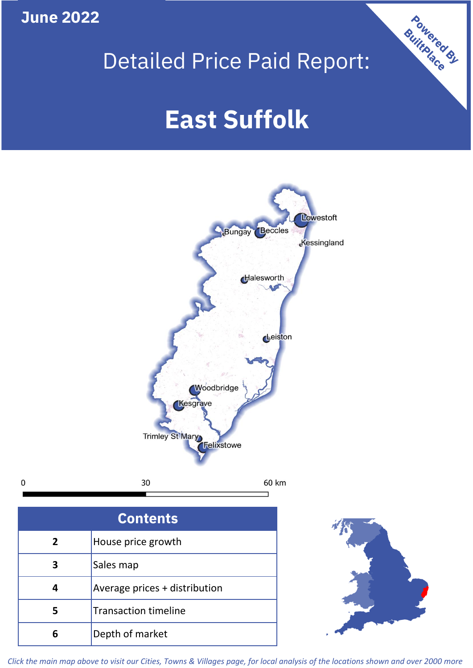**June 2022**

 $\mathbf 0$ 

# Detailed Price Paid Report:

# **East Suffolk**



| <b>Contents</b> |                               |  |  |
|-----------------|-------------------------------|--|--|
| 2               | House price growth            |  |  |
| 3               | Sales map                     |  |  |
|                 | Average prices + distribution |  |  |
| 5               | <b>Transaction timeline</b>   |  |  |
|                 | Depth of market               |  |  |



Powered By

*Click the main map above to visit our Cities, Towns & Villages page, for local analysis of the locations shown and over 2000 more*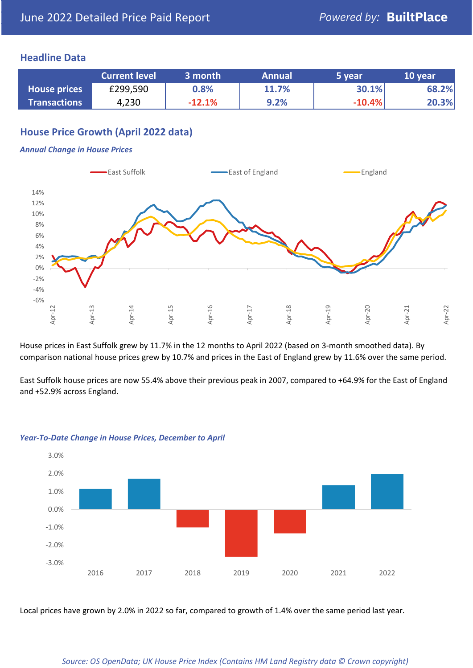### **Headline Data**

|                     | <b>Current level</b> | 3 month  | <b>Annual</b> | 5 year   | 10 year |
|---------------------|----------------------|----------|---------------|----------|---------|
| <b>House prices</b> | £299,590             | 0.8%     | 11.7%         | 30.1%    | 68.2%   |
| <b>Transactions</b> | 4,230                | $-12.1%$ | 9.2%          | $-10.4%$ | 20.3%   |

## **House Price Growth (April 2022 data)**

#### *Annual Change in House Prices*



House prices in East Suffolk grew by 11.7% in the 12 months to April 2022 (based on 3-month smoothed data). By comparison national house prices grew by 10.7% and prices in the East of England grew by 11.6% over the same period.

East Suffolk house prices are now 55.4% above their previous peak in 2007, compared to +64.9% for the East of England and +52.9% across England.



#### *Year-To-Date Change in House Prices, December to April*

Local prices have grown by 2.0% in 2022 so far, compared to growth of 1.4% over the same period last year.

#### *Source: OS OpenData; UK House Price Index (Contains HM Land Registry data © Crown copyright)*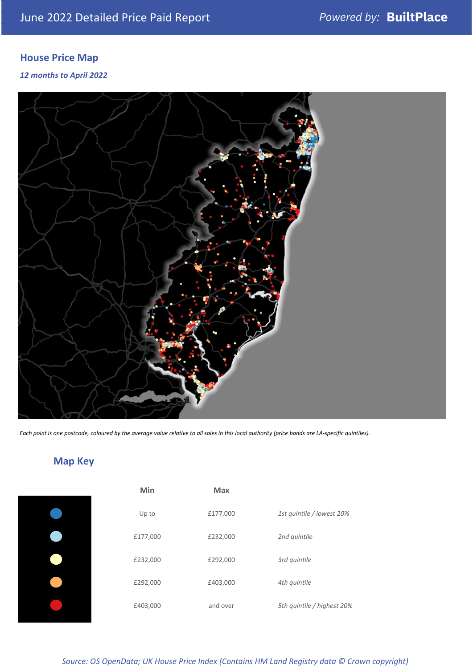# **House Price Map**

*12 months to April 2022*



*Each point is one postcode, coloured by the average value relative to all sales in this local authority (price bands are LA-specific quintiles).*

# **Map Key**

| Min      | <b>Max</b> |                            |
|----------|------------|----------------------------|
| Up to    | £177,000   | 1st quintile / lowest 20%  |
| £177,000 | £232,000   | 2nd quintile               |
| £232,000 | £292,000   | 3rd quintile               |
| £292,000 | £403,000   | 4th quintile               |
| £403,000 | and over   | 5th quintile / highest 20% |

*Source: OS OpenData; UK House Price Index (Contains HM Land Registry data © Crown copyright)*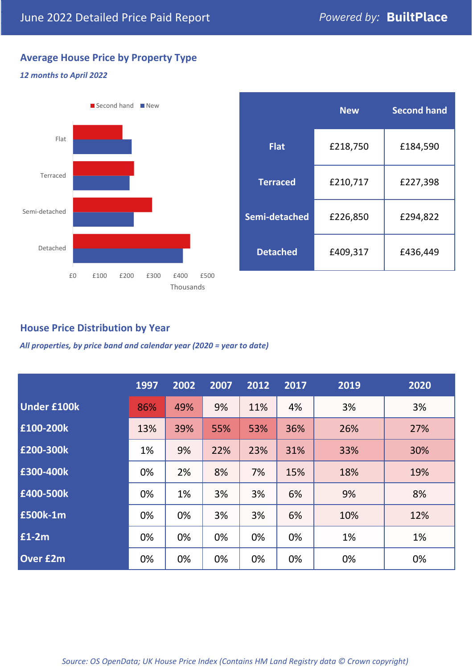# **Average House Price by Property Type**

#### *12 months to April 2022*



|                 | <b>New</b> | <b>Second hand</b> |  |  |
|-----------------|------------|--------------------|--|--|
| <b>Flat</b>     | £218,750   | £184,590           |  |  |
| <b>Terraced</b> | £210,717   | £227,398           |  |  |
| Semi-detached   | £226,850   | £294,822           |  |  |
| <b>Detached</b> | £409,317   | £436,449           |  |  |

### **House Price Distribution by Year**

*All properties, by price band and calendar year (2020 = year to date)*

|                    | 1997 | 2002 | 2007 | 2012 | 2017 | 2019 | 2020 |
|--------------------|------|------|------|------|------|------|------|
| <b>Under £100k</b> | 86%  | 49%  | 9%   | 11%  | 4%   | 3%   | 3%   |
| £100-200k          | 13%  | 39%  | 55%  | 53%  | 36%  | 26%  | 27%  |
| E200-300k          | 1%   | 9%   | 22%  | 23%  | 31%  | 33%  | 30%  |
| £300-400k          | 0%   | 2%   | 8%   | 7%   | 15%  | 18%  | 19%  |
| £400-500k          | 0%   | 1%   | 3%   | 3%   | 6%   | 9%   | 8%   |
| <b>£500k-1m</b>    | 0%   | 0%   | 3%   | 3%   | 6%   | 10%  | 12%  |
| £1-2m              | 0%   | 0%   | 0%   | 0%   | 0%   | 1%   | 1%   |
| <b>Over £2m</b>    | 0%   | 0%   | 0%   | 0%   | 0%   | 0%   | 0%   |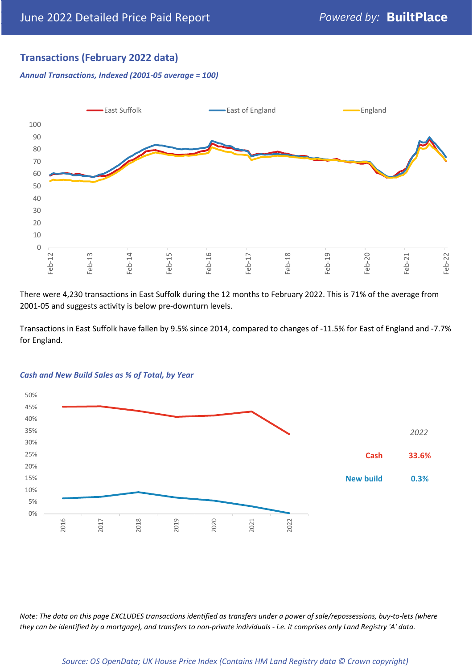# **Transactions (February 2022 data)**

*Annual Transactions, Indexed (2001-05 average = 100)*



There were 4,230 transactions in East Suffolk during the 12 months to February 2022. This is 71% of the average from 2001-05 and suggests activity is below pre-downturn levels.

Transactions in East Suffolk have fallen by 9.5% since 2014, compared to changes of -11.5% for East of England and -7.7% for England.



#### *Cash and New Build Sales as % of Total, by Year*

*Note: The data on this page EXCLUDES transactions identified as transfers under a power of sale/repossessions, buy-to-lets (where they can be identified by a mortgage), and transfers to non-private individuals - i.e. it comprises only Land Registry 'A' data.*